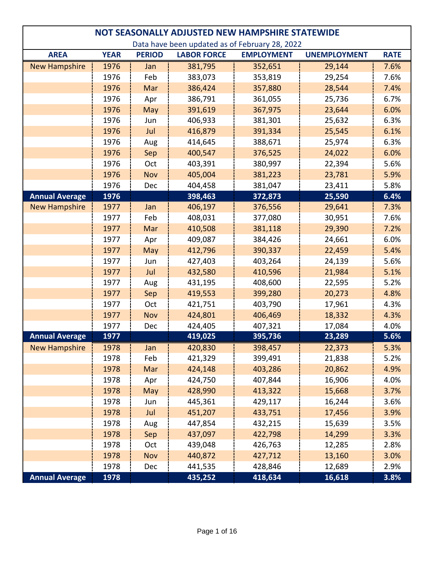|                                                | NOT SEASONALLY ADJUSTED NEW HAMPSHIRE STATEWIDE |               |                    |                   |                     |             |  |  |  |
|------------------------------------------------|-------------------------------------------------|---------------|--------------------|-------------------|---------------------|-------------|--|--|--|
| Data have been updated as of February 28, 2022 |                                                 |               |                    |                   |                     |             |  |  |  |
| <b>AREA</b>                                    | <b>YEAR</b>                                     | <b>PERIOD</b> | <b>LABOR FORCE</b> | <b>EMPLOYMENT</b> | <b>UNEMPLOYMENT</b> | <b>RATE</b> |  |  |  |
| <b>New Hampshire</b>                           | 1976                                            | Jan           | 381,795            | 352,651           | 29,144              | 7.6%        |  |  |  |
|                                                | 1976                                            | Feb           | 383,073            | 353,819           | 29,254              | 7.6%        |  |  |  |
|                                                | 1976                                            | Mar           | 386,424            | 357,880           | 28,544              | 7.4%        |  |  |  |
|                                                | 1976                                            | Apr           | 386,791            | 361,055           | 25,736              | 6.7%        |  |  |  |
|                                                | 1976                                            | May           | 391,619            | 367,975           | 23,644              | 6.0%        |  |  |  |
|                                                | 1976                                            | Jun           | 406,933            | 381,301           | 25,632              | 6.3%        |  |  |  |
|                                                | 1976                                            | Jul           | 416,879            | 391,334           | 25,545              | 6.1%        |  |  |  |
|                                                | 1976                                            | Aug           | 414,645            | 388,671           | 25,974              | 6.3%        |  |  |  |
|                                                | 1976                                            | Sep           | 400,547            | 376,525           | 24,022              | 6.0%        |  |  |  |
|                                                | 1976                                            | Oct           | 403,391            | 380,997           | 22,394              | 5.6%        |  |  |  |
|                                                | 1976                                            | <b>Nov</b>    | 405,004            | 381,223           | 23,781              | 5.9%        |  |  |  |
|                                                | 1976                                            | Dec           | 404,458            | 381,047           | 23,411              | 5.8%        |  |  |  |
| <b>Annual Average</b>                          | 1976                                            |               | 398,463            | 372,873           | 25,590              | 6.4%        |  |  |  |
| <b>New Hampshire</b>                           | 1977                                            | Jan           | 406,197            | 376,556           | 29,641              | 7.3%        |  |  |  |
|                                                | 1977                                            | Feb           | 408,031            | 377,080           | 30,951              | 7.6%        |  |  |  |
|                                                | 1977                                            | Mar           | 410,508            | 381,118           | 29,390              | 7.2%        |  |  |  |
|                                                | 1977                                            | Apr           | 409,087            | 384,426           | 24,661              | 6.0%        |  |  |  |
|                                                | 1977                                            | May           | 412,796            | 390,337           | 22,459              | 5.4%        |  |  |  |
|                                                | 1977                                            | Jun           | 427,403            | 403,264           | 24,139              | 5.6%        |  |  |  |
|                                                | 1977                                            | Jul           | 432,580            | 410,596           | 21,984              | 5.1%        |  |  |  |
|                                                | 1977                                            | Aug           | 431,195            | 408,600           | 22,595              | 5.2%        |  |  |  |
|                                                | 1977                                            | Sep           | 419,553            | 399,280           | 20,273              | 4.8%        |  |  |  |
|                                                | 1977                                            | Oct           | 421,751            | 403,790           | 17,961              | 4.3%        |  |  |  |
|                                                | 1977                                            | Nov           | 424,801            | 406,469           | 18,332              | 4.3%        |  |  |  |
|                                                | 1977                                            | Dec           | 424,405            | 407,321           | 17,084              | 4.0%        |  |  |  |
| <b>Annual Average</b>                          | 1977                                            |               | 419,025            | 395,736           | 23,289              | 5.6%        |  |  |  |
| <b>New Hampshire</b>                           | 1978                                            | Jan           | 420,830            | 398,457           | 22,373              | 5.3%        |  |  |  |
|                                                | 1978                                            | Feb           | 421,329            | 399,491           | 21,838              | 5.2%        |  |  |  |
|                                                | 1978                                            | Mar           | 424,148            | 403,286           | 20,862              | 4.9%        |  |  |  |
|                                                | 1978                                            | Apr           | 424,750            | 407,844           | 16,906              | 4.0%        |  |  |  |
|                                                | 1978                                            | May           | 428,990            | 413,322           | 15,668              | 3.7%        |  |  |  |
|                                                | 1978                                            | Jun           | 445,361            | 429,117           | 16,244              | 3.6%        |  |  |  |
|                                                | 1978                                            | Jul           | 451,207            | 433,751           | 17,456              | 3.9%        |  |  |  |
|                                                | 1978                                            | Aug           | 447,854            | 432,215           | 15,639              | 3.5%        |  |  |  |
|                                                | 1978                                            | Sep           | 437,097            | 422,798           | 14,299              | 3.3%        |  |  |  |
|                                                | 1978                                            | Oct           | 439,048            | 426,763           | 12,285              | 2.8%        |  |  |  |
|                                                | 1978                                            | Nov           | 440,872            | 427,712           | 13,160              | 3.0%        |  |  |  |
|                                                | 1978                                            | Dec           | 441,535            | 428,846           | 12,689              | 2.9%        |  |  |  |
| <b>Annual Average</b>                          | 1978                                            |               | 435,252            | 418,634           | 16,618              | 3.8%        |  |  |  |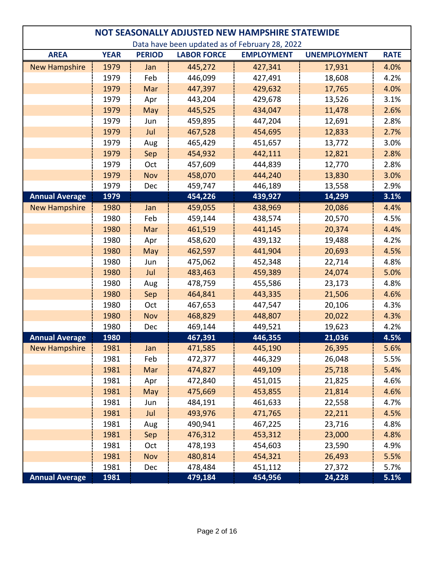| NOT SEASONALLY ADJUSTED NEW HAMPSHIRE STATEWIDE |                                                |               |                    |                   |                     |             |  |  |  |
|-------------------------------------------------|------------------------------------------------|---------------|--------------------|-------------------|---------------------|-------------|--|--|--|
|                                                 | Data have been updated as of February 28, 2022 |               |                    |                   |                     |             |  |  |  |
| <b>AREA</b>                                     | <b>YEAR</b>                                    | <b>PERIOD</b> | <b>LABOR FORCE</b> | <b>EMPLOYMENT</b> | <b>UNEMPLOYMENT</b> | <b>RATE</b> |  |  |  |
| <b>New Hampshire</b>                            | 1979                                           | Jan           | 445,272            | 427,341           | 17,931              | 4.0%        |  |  |  |
|                                                 | 1979                                           | Feb           | 446,099            | 427,491           | 18,608              | 4.2%        |  |  |  |
|                                                 | 1979                                           | Mar           | 447,397            | 429,632           | 17,765              | 4.0%        |  |  |  |
|                                                 | 1979                                           | Apr           | 443,204            | 429,678           | 13,526              | 3.1%        |  |  |  |
|                                                 | 1979                                           | May           | 445,525            | 434,047           | 11,478              | 2.6%        |  |  |  |
|                                                 | 1979                                           | Jun           | 459,895            | 447,204           | 12,691              | 2.8%        |  |  |  |
|                                                 | 1979                                           | Jul           | 467,528            | 454,695           | 12,833              | 2.7%        |  |  |  |
|                                                 | 1979                                           | Aug           | 465,429            | 451,657           | 13,772              | 3.0%        |  |  |  |
|                                                 | 1979                                           | Sep           | 454,932            | 442,111           | 12,821              | 2.8%        |  |  |  |
|                                                 | 1979                                           | Oct           | 457,609            | 444,839           | 12,770              | 2.8%        |  |  |  |
|                                                 | 1979                                           | <b>Nov</b>    | 458,070            | 444,240           | 13,830              | 3.0%        |  |  |  |
|                                                 | 1979                                           | Dec           | 459,747            | 446,189           | 13,558              | 2.9%        |  |  |  |
| <b>Annual Average</b>                           | 1979                                           |               | 454,226            | 439,927           | 14,299              | 3.1%        |  |  |  |
| <b>New Hampshire</b>                            | 1980                                           | Jan           | 459,055            | 438,969           | 20,086              | 4.4%        |  |  |  |
|                                                 | 1980                                           | Feb           | 459,144            | 438,574           | 20,570              | 4.5%        |  |  |  |
|                                                 | 1980                                           | Mar           | 461,519            | 441,145           | 20,374              | 4.4%        |  |  |  |
|                                                 | 1980                                           | Apr           | 458,620            | 439,132           | 19,488              | 4.2%        |  |  |  |
|                                                 | 1980                                           | May           | 462,597            | 441,904           | 20,693              | 4.5%        |  |  |  |
|                                                 | 1980                                           | Jun           | 475,062            | 452,348           | 22,714              | 4.8%        |  |  |  |
|                                                 | 1980                                           | Jul           | 483,463            | 459,389           | 24,074              | 5.0%        |  |  |  |
|                                                 | 1980                                           | Aug           | 478,759            | 455,586           | 23,173              | 4.8%        |  |  |  |
|                                                 | 1980                                           | Sep           | 464,841            | 443,335           | 21,506              | 4.6%        |  |  |  |
|                                                 | 1980                                           | Oct           | 467,653            | 447,547           | 20,106              | 4.3%        |  |  |  |
|                                                 | 1980                                           | Nov           | 468,829            | 448,807           | 20,022              | 4.3%        |  |  |  |
|                                                 | 1980                                           | Dec           | 469,144            | 449,521           | 19,623              | 4.2%        |  |  |  |
| <b>Annual Average</b>                           | 1980                                           |               | 467,391            | 446,355           | 21,036              | 4.5%        |  |  |  |
| <b>New Hampshire</b>                            | 1981                                           | Jan           | 471,585            | 445,190           | 26,395              | 5.6%        |  |  |  |
|                                                 | 1981                                           | Feb           | 472,377            | 446,329           | 26,048              | 5.5%        |  |  |  |
|                                                 | 1981                                           | Mar           | 474,827            | 449,109           | 25,718              | 5.4%        |  |  |  |
|                                                 | 1981                                           | Apr           | 472,840            | 451,015           | 21,825              | 4.6%        |  |  |  |
|                                                 | 1981                                           | May           | 475,669            | 453,855           | 21,814              | 4.6%        |  |  |  |
|                                                 | 1981                                           | Jun           | 484,191            | 461,633           | 22,558              | 4.7%        |  |  |  |
|                                                 | 1981                                           | Jul           | 493,976            | 471,765           | 22,211              | 4.5%        |  |  |  |
|                                                 | 1981                                           | Aug           | 490,941            | 467,225           | 23,716              | 4.8%        |  |  |  |
|                                                 | 1981                                           | Sep           | 476,312            | 453,312           | 23,000              | 4.8%        |  |  |  |
|                                                 | 1981                                           | Oct           | 478,193            | 454,603           | 23,590              | 4.9%        |  |  |  |
|                                                 | 1981                                           | Nov           | 480,814            | 454,321           | 26,493              | 5.5%        |  |  |  |
|                                                 | 1981                                           | Dec           | 478,484            | 451,112           | 27,372              | 5.7%        |  |  |  |
| <b>Annual Average</b>                           | 1981                                           |               | 479,184            | 454,956           | 24,228              | 5.1%        |  |  |  |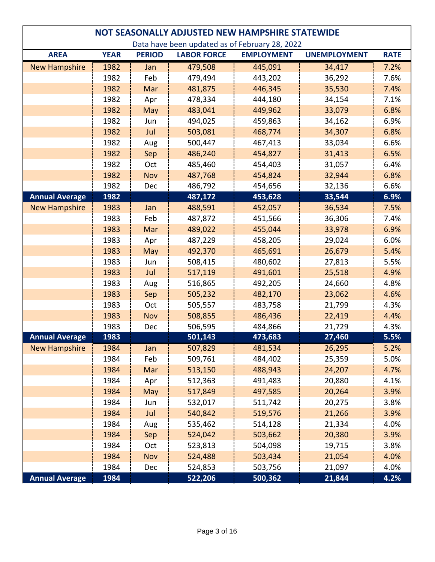| NOT SEASONALLY ADJUSTED NEW HAMPSHIRE STATEWIDE |             |               |                    |                                                |                     |             |  |  |
|-------------------------------------------------|-------------|---------------|--------------------|------------------------------------------------|---------------------|-------------|--|--|
|                                                 |             |               |                    | Data have been updated as of February 28, 2022 |                     |             |  |  |
| <b>AREA</b>                                     | <b>YEAR</b> | <b>PERIOD</b> | <b>LABOR FORCE</b> | <b>EMPLOYMENT</b>                              | <b>UNEMPLOYMENT</b> | <b>RATE</b> |  |  |
| <b>New Hampshire</b>                            | 1982        | Jan           | 479,508            | 445,091                                        | 34,417              | 7.2%        |  |  |
|                                                 | 1982        | Feb           | 479,494            | 443,202                                        | 36,292              | 7.6%        |  |  |
|                                                 | 1982        | Mar           | 481,875            | 446,345                                        | 35,530              | 7.4%        |  |  |
|                                                 | 1982        | Apr           | 478,334            | 444,180                                        | 34,154              | 7.1%        |  |  |
|                                                 | 1982        | May           | 483,041            | 449,962                                        | 33,079              | 6.8%        |  |  |
|                                                 | 1982        | Jun           | 494,025            | 459,863                                        | 34,162              | 6.9%        |  |  |
|                                                 | 1982        | Jul           | 503,081            | 468,774                                        | 34,307              | 6.8%        |  |  |
|                                                 | 1982        | Aug           | 500,447            | 467,413                                        | 33,034              | 6.6%        |  |  |
|                                                 | 1982        | Sep           | 486,240            | 454,827                                        | 31,413              | 6.5%        |  |  |
|                                                 | 1982        | Oct           | 485,460            | 454,403                                        | 31,057              | 6.4%        |  |  |
|                                                 | 1982        | Nov           | 487,768            | 454,824                                        | 32,944              | 6.8%        |  |  |
|                                                 | 1982        | Dec           | 486,792            | 454,656                                        | 32,136              | 6.6%        |  |  |
| <b>Annual Average</b>                           | 1982        |               | 487,172            | 453,628                                        | 33,544              | 6.9%        |  |  |
| <b>New Hampshire</b>                            | 1983        | Jan           | 488,591            | 452,057                                        | 36,534              | 7.5%        |  |  |
|                                                 | 1983        | Feb           | 487,872            | 451,566                                        | 36,306              | 7.4%        |  |  |
|                                                 | 1983        | Mar           | 489,022            | 455,044                                        | 33,978              | 6.9%        |  |  |
|                                                 | 1983        | Apr           | 487,229            | 458,205                                        | 29,024              | 6.0%        |  |  |
|                                                 | 1983        | May           | 492,370            | 465,691                                        | 26,679              | 5.4%        |  |  |
|                                                 | 1983        | Jun           | 508,415            | 480,602                                        | 27,813              | 5.5%        |  |  |
|                                                 | 1983        | Jul           | 517,119            | 491,601                                        | 25,518              | 4.9%        |  |  |
|                                                 | 1983        | Aug           | 516,865            | 492,205                                        | 24,660              | 4.8%        |  |  |
|                                                 | 1983        | Sep           | 505,232            | 482,170                                        | 23,062              | 4.6%        |  |  |
|                                                 | 1983        | Oct           | 505,557            | 483,758                                        | 21,799              | 4.3%        |  |  |
|                                                 | 1983        | Nov           | 508,855            | 486,436                                        | 22,419              | 4.4%        |  |  |
|                                                 | 1983        | Dec           | 506,595            | 484,866                                        | 21,729              | 4.3%        |  |  |
| <b>Annual Average</b>                           | 1983        |               | 501,143            | 473,683                                        | 27,460              | 5.5%        |  |  |
| <b>New Hampshire</b>                            | 1984        | Jan           | 507,829            | 481,534                                        | 26,295              | 5.2%        |  |  |
|                                                 | 1984        | Feb           | 509,761            | 484,402                                        | 25,359              | 5.0%        |  |  |
|                                                 | 1984        | Mar           | 513,150            | 488,943                                        | 24,207              | 4.7%        |  |  |
|                                                 | 1984        | Apr           | 512,363            | 491,483                                        | 20,880              | 4.1%        |  |  |
|                                                 | 1984        | May           | 517,849            | 497,585                                        | 20,264              | 3.9%        |  |  |
|                                                 | 1984        | Jun           | 532,017            | 511,742                                        | 20,275              | 3.8%        |  |  |
|                                                 | 1984        | Jul           | 540,842            | 519,576                                        | 21,266              | 3.9%        |  |  |
|                                                 | 1984        | Aug           | 535,462            | 514,128                                        | 21,334              | 4.0%        |  |  |
|                                                 | 1984        | Sep           | 524,042            | 503,662                                        | 20,380              | 3.9%        |  |  |
|                                                 | 1984        | Oct           | 523,813            | 504,098                                        | 19,715              | 3.8%        |  |  |
|                                                 | 1984        | Nov           | 524,488            | 503,434                                        | 21,054              | 4.0%        |  |  |
|                                                 | 1984        | Dec           | 524,853            | 503,756                                        | 21,097              | 4.0%        |  |  |
| <b>Annual Average</b>                           | 1984        |               | 522,206            | 500,362                                        | 21,844              | 4.2%        |  |  |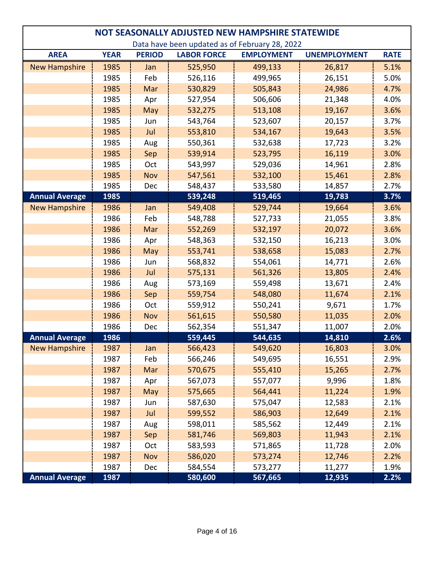| NOT SEASONALLY ADJUSTED NEW HAMPSHIRE STATEWIDE |             |               |                    |                   |                     |             |  |  |
|-------------------------------------------------|-------------|---------------|--------------------|-------------------|---------------------|-------------|--|--|
| Data have been updated as of February 28, 2022  |             |               |                    |                   |                     |             |  |  |
| <b>AREA</b>                                     | <b>YEAR</b> | <b>PERIOD</b> | <b>LABOR FORCE</b> | <b>EMPLOYMENT</b> | <b>UNEMPLOYMENT</b> | <b>RATE</b> |  |  |
| <b>New Hampshire</b>                            | 1985        | Jan           | 525,950            | 499,133           | 26,817              | 5.1%        |  |  |
|                                                 | 1985        | Feb           | 526,116            | 499,965           | 26,151              | 5.0%        |  |  |
|                                                 | 1985        | Mar           | 530,829            | 505,843           | 24,986              | 4.7%        |  |  |
|                                                 | 1985        | Apr           | 527,954            | 506,606           | 21,348              | 4.0%        |  |  |
|                                                 | 1985        | May           | 532,275            | 513,108           | 19,167              | 3.6%        |  |  |
|                                                 | 1985        | Jun           | 543,764            | 523,607           | 20,157              | 3.7%        |  |  |
|                                                 | 1985        | Jul           | 553,810            | 534,167           | 19,643              | 3.5%        |  |  |
|                                                 | 1985        | Aug           | 550,361            | 532,638           | 17,723              | 3.2%        |  |  |
|                                                 | 1985        | Sep           | 539,914            | 523,795           | 16,119              | 3.0%        |  |  |
|                                                 | 1985        | Oct           | 543,997            | 529,036           | 14,961              | 2.8%        |  |  |
|                                                 | 1985        | <b>Nov</b>    | 547,561            | 532,100           | 15,461              | 2.8%        |  |  |
|                                                 | 1985        | Dec           | 548,437            | 533,580           | 14,857              | 2.7%        |  |  |
| <b>Annual Average</b>                           | 1985        |               | 539,248            | 519,465           | 19,783              | 3.7%        |  |  |
| <b>New Hampshire</b>                            | 1986        | Jan           | 549,408            | 529,744           | 19,664              | 3.6%        |  |  |
|                                                 | 1986        | Feb           | 548,788            | 527,733           | 21,055              | 3.8%        |  |  |
|                                                 | 1986        | Mar           | 552,269            | 532,197           | 20,072              | 3.6%        |  |  |
|                                                 | 1986        | Apr           | 548,363            | 532,150           | 16,213              | 3.0%        |  |  |
|                                                 | 1986        | May           | 553,741            | 538,658           | 15,083              | 2.7%        |  |  |
|                                                 | 1986        | Jun           | 568,832            | 554,061           | 14,771              | 2.6%        |  |  |
|                                                 | 1986        | Jul           | 575,131            | 561,326           | 13,805              | 2.4%        |  |  |
|                                                 | 1986        | Aug           | 573,169            | 559,498           | 13,671              | 2.4%        |  |  |
|                                                 | 1986        | Sep           | 559,754            | 548,080           | 11,674              | 2.1%        |  |  |
|                                                 | 1986        | Oct           | 559,912            | 550,241           | 9,671               | 1.7%        |  |  |
|                                                 | 1986        | <b>Nov</b>    | 561,615            | 550,580           | 11,035              | 2.0%        |  |  |
|                                                 | 1986        | Dec           | 562,354            | 551,347           | 11,007              | 2.0%        |  |  |
| <b>Annual Average</b>                           | 1986        |               | 559,445            | 544,635           | 14,810              | 2.6%        |  |  |
| <b>New Hampshire</b>                            | 1987        | Jan           | 566,423            | 549,620           | 16,803              | 3.0%        |  |  |
|                                                 | 1987        | Feb           | 566,246            | 549,695           | 16,551              | 2.9%        |  |  |
|                                                 | 1987        | Mar           | 570,675            | 555,410           | 15,265              | 2.7%        |  |  |
|                                                 | 1987        | Apr           | 567,073            | 557,077           | 9,996               | 1.8%        |  |  |
|                                                 | 1987        | May           | 575,665            | 564,441           | 11,224              | 1.9%        |  |  |
|                                                 | 1987        | Jun           | 587,630            | 575,047           | 12,583              | 2.1%        |  |  |
|                                                 | 1987        | Jul           | 599,552            | 586,903           | 12,649              | 2.1%        |  |  |
|                                                 | 1987        | Aug           | 598,011            | 585,562           | 12,449              | 2.1%        |  |  |
|                                                 | 1987        | Sep           | 581,746            | 569,803           | 11,943              | 2.1%        |  |  |
|                                                 | 1987        | Oct           | 583,593            | 571,865           | 11,728              | 2.0%        |  |  |
|                                                 | 1987        | Nov           | 586,020            | 573,274           | 12,746              | 2.2%        |  |  |
|                                                 | 1987        | Dec           | 584,554            | 573,277           | 11,277              | 1.9%        |  |  |
| <b>Annual Average</b>                           | 1987        |               | 580,600            | 567,665           | 12,935              | 2.2%        |  |  |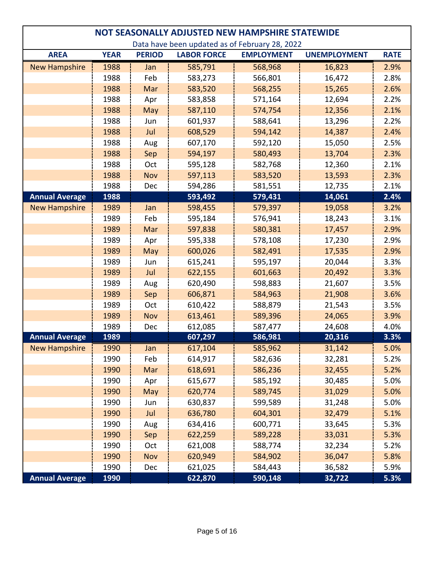| NOT SEASONALLY ADJUSTED NEW HAMPSHIRE STATEWIDE |             |               |                    |                                                |                     |             |  |  |
|-------------------------------------------------|-------------|---------------|--------------------|------------------------------------------------|---------------------|-------------|--|--|
|                                                 |             |               |                    | Data have been updated as of February 28, 2022 |                     |             |  |  |
| <b>AREA</b>                                     | <b>YEAR</b> | <b>PERIOD</b> | <b>LABOR FORCE</b> | <b>EMPLOYMENT</b>                              | <b>UNEMPLOYMENT</b> | <b>RATE</b> |  |  |
| <b>New Hampshire</b>                            | 1988        | Jan           | 585,791            | 568,968                                        | 16,823              | 2.9%        |  |  |
|                                                 | 1988        | Feb           | 583,273            | 566,801                                        | 16,472              | 2.8%        |  |  |
|                                                 | 1988        | Mar           | 583,520            | 568,255                                        | 15,265              | 2.6%        |  |  |
|                                                 | 1988        | Apr           | 583,858            | 571,164                                        | 12,694              | 2.2%        |  |  |
|                                                 | 1988        | May           | 587,110            | 574,754                                        | 12,356              | 2.1%        |  |  |
|                                                 | 1988        | Jun           | 601,937            | 588,641                                        | 13,296              | 2.2%        |  |  |
|                                                 | 1988        | Jul           | 608,529            | 594,142                                        | 14,387              | 2.4%        |  |  |
|                                                 | 1988        | Aug           | 607,170            | 592,120                                        | 15,050              | 2.5%        |  |  |
|                                                 | 1988        | Sep           | 594,197            | 580,493                                        | 13,704              | 2.3%        |  |  |
|                                                 | 1988        | Oct           | 595,128            | 582,768                                        | 12,360              | 2.1%        |  |  |
|                                                 | 1988        | <b>Nov</b>    | 597,113            | 583,520                                        | 13,593              | 2.3%        |  |  |
|                                                 | 1988        | Dec           | 594,286            | 581,551                                        | 12,735              | 2.1%        |  |  |
| <b>Annual Average</b>                           | 1988        |               | 593,492            | 579,431                                        | 14,061              | 2.4%        |  |  |
| <b>New Hampshire</b>                            | 1989        | Jan           | 598,455            | 579,397                                        | 19,058              | 3.2%        |  |  |
|                                                 | 1989        | Feb           | 595,184            | 576,941                                        | 18,243              | 3.1%        |  |  |
|                                                 | 1989        | Mar           | 597,838            | 580,381                                        | 17,457              | 2.9%        |  |  |
|                                                 | 1989        | Apr           | 595,338            | 578,108                                        | 17,230              | 2.9%        |  |  |
|                                                 | 1989        | May           | 600,026            | 582,491                                        | 17,535              | 2.9%        |  |  |
|                                                 | 1989        | Jun           | 615,241            | 595,197                                        | 20,044              | 3.3%        |  |  |
|                                                 | 1989        | Jul           | 622,155            | 601,663                                        | 20,492              | 3.3%        |  |  |
|                                                 | 1989        | Aug           | 620,490            | 598,883                                        | 21,607              | 3.5%        |  |  |
|                                                 | 1989        | Sep           | 606,871            | 584,963                                        | 21,908              | 3.6%        |  |  |
|                                                 | 1989        | Oct           | 610,422            | 588,879                                        | 21,543              | 3.5%        |  |  |
|                                                 | 1989        | Nov           | 613,461            | 589,396                                        | 24,065              | 3.9%        |  |  |
|                                                 | 1989        | Dec           | 612,085            | 587,477                                        | 24,608              | 4.0%        |  |  |
| <b>Annual Average</b>                           | 1989        |               | 607,297            | 586,981                                        | 20,316              | 3.3%        |  |  |
| <b>New Hampshire</b>                            | 1990        | Jan           | 617,104            | 585,962                                        | 31,142              | 5.0%        |  |  |
|                                                 | 1990        | Feb           | 614,917            | 582,636                                        | 32,281              | 5.2%        |  |  |
|                                                 | 1990        | Mar           | 618,691            | 586,236                                        | 32,455              | 5.2%        |  |  |
|                                                 | 1990        | Apr           | 615,677            | 585,192                                        | 30,485              | 5.0%        |  |  |
|                                                 | 1990        | May           | 620,774            | 589,745                                        | 31,029              | 5.0%        |  |  |
|                                                 | 1990        | Jun           | 630,837            | 599,589                                        | 31,248              | 5.0%        |  |  |
|                                                 | 1990        | Jul           | 636,780            | 604,301                                        | 32,479              | 5.1%        |  |  |
|                                                 | 1990        | Aug           | 634,416            | 600,771                                        | 33,645              | 5.3%        |  |  |
|                                                 | 1990        | Sep           | 622,259            | 589,228                                        | 33,031              | 5.3%        |  |  |
|                                                 | 1990        | Oct           | 621,008            | 588,774                                        | 32,234              | 5.2%        |  |  |
|                                                 | 1990        | Nov           | 620,949            | 584,902                                        | 36,047              | 5.8%        |  |  |
|                                                 | 1990        | Dec           | 621,025            | 584,443                                        | 36,582              | 5.9%        |  |  |
| <b>Annual Average</b>                           | 1990        |               | 622,870            | 590,148                                        | 32,722              | 5.3%        |  |  |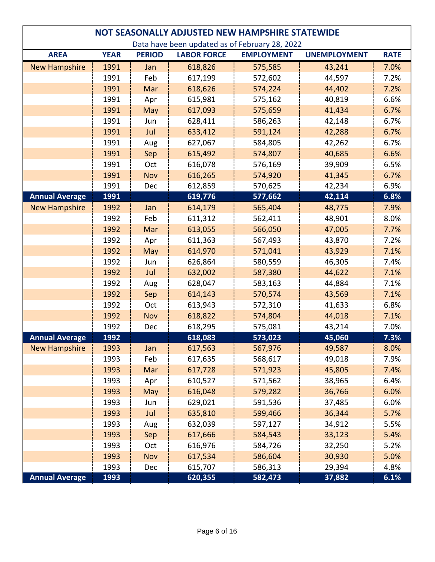| NOT SEASONALLY ADJUSTED NEW HAMPSHIRE STATEWIDE |             |               |                    |                   |                     |             |  |  |
|-------------------------------------------------|-------------|---------------|--------------------|-------------------|---------------------|-------------|--|--|
| Data have been updated as of February 28, 2022  |             |               |                    |                   |                     |             |  |  |
| <b>AREA</b>                                     | <b>YEAR</b> | <b>PERIOD</b> | <b>LABOR FORCE</b> | <b>EMPLOYMENT</b> | <b>UNEMPLOYMENT</b> | <b>RATE</b> |  |  |
| <b>New Hampshire</b>                            | 1991        | Jan           | 618,826            | 575,585           | 43,241              | 7.0%        |  |  |
|                                                 | 1991        | Feb           | 617,199            | 572,602           | 44,597              | 7.2%        |  |  |
|                                                 | 1991        | Mar           | 618,626            | 574,224           | 44,402              | 7.2%        |  |  |
|                                                 | 1991        | Apr           | 615,981            | 575,162           | 40,819              | 6.6%        |  |  |
|                                                 | 1991        | May           | 617,093            | 575,659           | 41,434              | 6.7%        |  |  |
|                                                 | 1991        | Jun           | 628,411            | 586,263           | 42,148              | 6.7%        |  |  |
|                                                 | 1991        | Jul           | 633,412            | 591,124           | 42,288              | 6.7%        |  |  |
|                                                 | 1991        | Aug           | 627,067            | 584,805           | 42,262              | 6.7%        |  |  |
|                                                 | 1991        | Sep           | 615,492            | 574,807           | 40,685              | 6.6%        |  |  |
|                                                 | 1991        | Oct           | 616,078            | 576,169           | 39,909              | 6.5%        |  |  |
|                                                 | 1991        | <b>Nov</b>    | 616,265            | 574,920           | 41,345              | 6.7%        |  |  |
|                                                 | 1991        | Dec           | 612,859            | 570,625           | 42,234              | 6.9%        |  |  |
| <b>Annual Average</b>                           | 1991        |               | 619,776            | 577,662           | 42,114              | 6.8%        |  |  |
| <b>New Hampshire</b>                            | 1992        | Jan           | 614,179            | 565,404           | 48,775              | 7.9%        |  |  |
|                                                 | 1992        | Feb           | 611,312            | 562,411           | 48,901              | 8.0%        |  |  |
|                                                 | 1992        | Mar           | 613,055            | 566,050           | 47,005              | 7.7%        |  |  |
|                                                 | 1992        | Apr           | 611,363            | 567,493           | 43,870              | 7.2%        |  |  |
|                                                 | 1992        | May           | 614,970            | 571,041           | 43,929              | 7.1%        |  |  |
|                                                 | 1992        | Jun           | 626,864            | 580,559           | 46,305              | 7.4%        |  |  |
|                                                 | 1992        | Jul           | 632,002            | 587,380           | 44,622              | 7.1%        |  |  |
|                                                 | 1992        | Aug           | 628,047            | 583,163           | 44,884              | 7.1%        |  |  |
|                                                 | 1992        | Sep           | 614,143            | 570,574           | 43,569              | 7.1%        |  |  |
|                                                 | 1992        | Oct           | 613,943            | 572,310           | 41,633              | 6.8%        |  |  |
|                                                 | 1992        | Nov           | 618,822            | 574,804           | 44,018              | 7.1%        |  |  |
|                                                 | 1992        | Dec           | 618,295            | 575,081           | 43,214              | 7.0%        |  |  |
| <b>Annual Average</b>                           | 1992        |               | 618,083            | 573,023           | 45,060              | 7.3%        |  |  |
| <b>New Hampshire</b>                            | 1993        | Jan           | 617,563            | 567,976           | 49,587              | 8.0%        |  |  |
|                                                 | 1993        | Feb           | 617,635            | 568,617           | 49,018              | 7.9%        |  |  |
|                                                 | 1993        | Mar           | 617,728            | 571,923           | 45,805              | 7.4%        |  |  |
|                                                 | 1993        | Apr           | 610,527            | 571,562           | 38,965              | 6.4%        |  |  |
|                                                 | 1993        | May           | 616,048            | 579,282           | 36,766              | 6.0%        |  |  |
|                                                 | 1993        | Jun           | 629,021            | 591,536           | 37,485              | 6.0%        |  |  |
|                                                 | 1993        | Jul           | 635,810            | 599,466           | 36,344              | 5.7%        |  |  |
|                                                 | 1993        | Aug           | 632,039            | 597,127           | 34,912              | 5.5%        |  |  |
|                                                 | 1993        | Sep           | 617,666            | 584,543           | 33,123              | 5.4%        |  |  |
|                                                 | 1993        | Oct           | 616,976            | 584,726           | 32,250              | 5.2%        |  |  |
|                                                 | 1993        | Nov           | 617,534            | 586,604           | 30,930              | 5.0%        |  |  |
|                                                 | 1993        | Dec           | 615,707            | 586,313           | 29,394              | 4.8%        |  |  |
| <b>Annual Average</b>                           | 1993        |               | 620,355            | 582,473           | 37,882              | 6.1%        |  |  |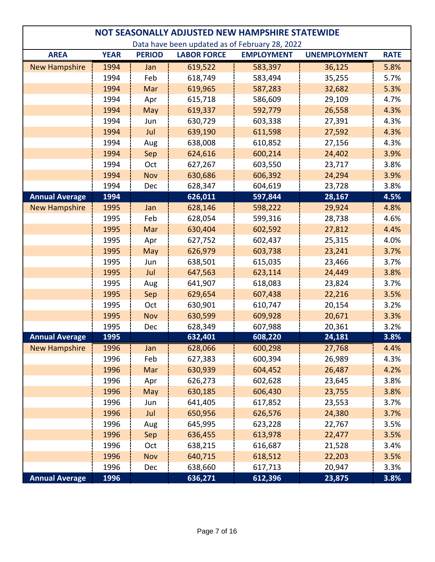| NOT SEASONALLY ADJUSTED NEW HAMPSHIRE STATEWIDE |             |               |                    |                                                |                     |             |  |  |
|-------------------------------------------------|-------------|---------------|--------------------|------------------------------------------------|---------------------|-------------|--|--|
|                                                 |             |               |                    | Data have been updated as of February 28, 2022 |                     |             |  |  |
| <b>AREA</b>                                     | <b>YEAR</b> | <b>PERIOD</b> | <b>LABOR FORCE</b> | <b>EMPLOYMENT</b>                              | <b>UNEMPLOYMENT</b> | <b>RATE</b> |  |  |
| <b>New Hampshire</b>                            | 1994        | Jan           | 619,522            | 583,397                                        | 36,125              | 5.8%        |  |  |
|                                                 | 1994        | Feb           | 618,749            | 583,494                                        | 35,255              | 5.7%        |  |  |
|                                                 | 1994        | Mar           | 619,965            | 587,283                                        | 32,682              | 5.3%        |  |  |
|                                                 | 1994        | Apr           | 615,718            | 586,609                                        | 29,109              | 4.7%        |  |  |
|                                                 | 1994        | May           | 619,337            | 592,779                                        | 26,558              | 4.3%        |  |  |
|                                                 | 1994        | Jun           | 630,729            | 603,338                                        | 27,391              | 4.3%        |  |  |
|                                                 | 1994        | Jul           | 639,190            | 611,598                                        | 27,592              | 4.3%        |  |  |
|                                                 | 1994        | Aug           | 638,008            | 610,852                                        | 27,156              | 4.3%        |  |  |
|                                                 | 1994        | Sep           | 624,616            | 600,214                                        | 24,402              | 3.9%        |  |  |
|                                                 | 1994        | Oct           | 627,267            | 603,550                                        | 23,717              | 3.8%        |  |  |
|                                                 | 1994        | <b>Nov</b>    | 630,686            | 606,392                                        | 24,294              | 3.9%        |  |  |
|                                                 | 1994        | Dec           | 628,347            | 604,619                                        | 23,728              | 3.8%        |  |  |
| <b>Annual Average</b>                           | 1994        |               | 626,011            | 597,844                                        | 28,167              | 4.5%        |  |  |
| <b>New Hampshire</b>                            | 1995        | Jan           | 628,146            | 598,222                                        | 29,924              | 4.8%        |  |  |
|                                                 | 1995        | Feb           | 628,054            | 599,316                                        | 28,738              | 4.6%        |  |  |
|                                                 | 1995        | Mar           | 630,404            | 602,592                                        | 27,812              | 4.4%        |  |  |
|                                                 | 1995        | Apr           | 627,752            | 602,437                                        | 25,315              | 4.0%        |  |  |
|                                                 | 1995        | May           | 626,979            | 603,738                                        | 23,241              | 3.7%        |  |  |
|                                                 | 1995        | Jun           | 638,501            | 615,035                                        | 23,466              | 3.7%        |  |  |
|                                                 | 1995        | Jul           | 647,563            | 623,114                                        | 24,449              | 3.8%        |  |  |
|                                                 | 1995        | Aug           | 641,907            | 618,083                                        | 23,824              | 3.7%        |  |  |
|                                                 | 1995        | Sep           | 629,654            | 607,438                                        | 22,216              | 3.5%        |  |  |
|                                                 | 1995        | Oct           | 630,901            | 610,747                                        | 20,154              | 3.2%        |  |  |
|                                                 | 1995        | Nov           | 630,599            | 609,928                                        | 20,671              | 3.3%        |  |  |
|                                                 | 1995        | Dec           | 628,349            | 607,988                                        | 20,361              | 3.2%        |  |  |
| <b>Annual Average</b>                           | 1995        |               | 632,401            | 608,220                                        | 24,181              | 3.8%        |  |  |
| <b>New Hampshire</b>                            | 1996        | Jan           | 628,066            | 600,298                                        | 27,768              | 4.4%        |  |  |
|                                                 | 1996        | Feb           | 627,383            | 600,394                                        | 26,989              | 4.3%        |  |  |
|                                                 | 1996        | Mar           | 630,939            | 604,452                                        | 26,487              | 4.2%        |  |  |
|                                                 | 1996        | Apr           | 626,273            | 602,628                                        | 23,645              | 3.8%        |  |  |
|                                                 | 1996        | May           | 630,185            | 606,430                                        | 23,755              | 3.8%        |  |  |
|                                                 | 1996        | Jun           | 641,405            | 617,852                                        | 23,553              | 3.7%        |  |  |
|                                                 | 1996        | Jul           | 650,956            | 626,576                                        | 24,380              | 3.7%        |  |  |
|                                                 | 1996        | Aug           | 645,995            | 623,228                                        | 22,767              | 3.5%        |  |  |
|                                                 | 1996        | Sep           | 636,455            | 613,978                                        | 22,477              | 3.5%        |  |  |
|                                                 | 1996        | Oct           | 638,215            | 616,687                                        | 21,528              | 3.4%        |  |  |
|                                                 | 1996        | Nov           | 640,715            | 618,512                                        | 22,203              | 3.5%        |  |  |
|                                                 | 1996        | Dec           | 638,660            | 617,713                                        | 20,947              | 3.3%        |  |  |
| <b>Annual Average</b>                           | 1996        |               | 636,271            | 612,396                                        | 23,875              | 3.8%        |  |  |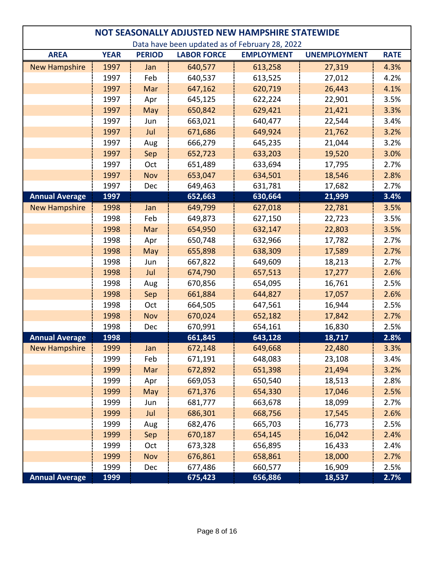| NOT SEASONALLY ADJUSTED NEW HAMPSHIRE STATEWIDE |             |               |                    |                   |                     |             |  |  |
|-------------------------------------------------|-------------|---------------|--------------------|-------------------|---------------------|-------------|--|--|
| Data have been updated as of February 28, 2022  |             |               |                    |                   |                     |             |  |  |
| <b>AREA</b>                                     | <b>YEAR</b> | <b>PERIOD</b> | <b>LABOR FORCE</b> | <b>EMPLOYMENT</b> | <b>UNEMPLOYMENT</b> | <b>RATE</b> |  |  |
| <b>New Hampshire</b>                            | 1997        | Jan           | 640,577            | 613,258           | 27,319              | 4.3%        |  |  |
|                                                 | 1997        | Feb           | 640,537            | 613,525           | 27,012              | 4.2%        |  |  |
|                                                 | 1997        | Mar           | 647,162            | 620,719           | 26,443              | 4.1%        |  |  |
|                                                 | 1997        | Apr           | 645,125            | 622,224           | 22,901              | 3.5%        |  |  |
|                                                 | 1997        | May           | 650,842            | 629,421           | 21,421              | 3.3%        |  |  |
|                                                 | 1997        | Jun           | 663,021            | 640,477           | 22,544              | 3.4%        |  |  |
|                                                 | 1997        | Jul           | 671,686            | 649,924           | 21,762              | 3.2%        |  |  |
|                                                 | 1997        | Aug           | 666,279            | 645,235           | 21,044              | 3.2%        |  |  |
|                                                 | 1997        | Sep           | 652,723            | 633,203           | 19,520              | 3.0%        |  |  |
|                                                 | 1997        | Oct           | 651,489            | 633,694           | 17,795              | 2.7%        |  |  |
|                                                 | 1997        | Nov           | 653,047            | 634,501           | 18,546              | 2.8%        |  |  |
|                                                 | 1997        | Dec           | 649,463            | 631,781           | 17,682              | 2.7%        |  |  |
| <b>Annual Average</b>                           | 1997        |               | 652,663            | 630,664           | 21,999              | 3.4%        |  |  |
| <b>New Hampshire</b>                            | 1998        | Jan           | 649,799            | 627,018           | 22,781              | 3.5%        |  |  |
|                                                 | 1998        | Feb           | 649,873            | 627,150           | 22,723              | 3.5%        |  |  |
|                                                 | 1998        | Mar           | 654,950            | 632,147           | 22,803              | 3.5%        |  |  |
|                                                 | 1998        | Apr           | 650,748            | 632,966           | 17,782              | 2.7%        |  |  |
|                                                 | 1998        | May           | 655,898            | 638,309           | 17,589              | 2.7%        |  |  |
|                                                 | 1998        | Jun           | 667,822            | 649,609           | 18,213              | 2.7%        |  |  |
|                                                 | 1998        | Jul           | 674,790            | 657,513           | 17,277              | 2.6%        |  |  |
|                                                 | 1998        | Aug           | 670,856            | 654,095           | 16,761              | 2.5%        |  |  |
|                                                 | 1998        | Sep           | 661,884            | 644,827           | 17,057              | 2.6%        |  |  |
|                                                 | 1998        | Oct           | 664,505            | 647,561           | 16,944              | 2.5%        |  |  |
|                                                 | 1998        | Nov           | 670,024            | 652,182           | 17,842              | 2.7%        |  |  |
|                                                 | 1998        | Dec           | 670,991            | 654,161           | 16,830              | 2.5%        |  |  |
| <b>Annual Average</b>                           | 1998        |               | 661,845            | 643,128           | 18,717              | 2.8%        |  |  |
| <b>New Hampshire</b>                            | 1999        | Jan           | 672,148            | 649,668           | 22,480              | 3.3%        |  |  |
|                                                 | 1999        | Feb           | 671,191            | 648,083           | 23,108              | 3.4%        |  |  |
|                                                 | 1999        | Mar           | 672,892            | 651,398           | 21,494              | 3.2%        |  |  |
|                                                 | 1999        | Apr           | 669,053            | 650,540           | 18,513              | 2.8%        |  |  |
|                                                 | 1999        | May           | 671,376            | 654,330           | 17,046              | 2.5%        |  |  |
|                                                 | 1999        | Jun           | 681,777            | 663,678           | 18,099              | 2.7%        |  |  |
|                                                 | 1999        | Jul           | 686,301            | 668,756           | 17,545              | 2.6%        |  |  |
|                                                 | 1999        | Aug           | 682,476            | 665,703           | 16,773              | 2.5%        |  |  |
|                                                 | 1999        | Sep           | 670,187            | 654,145           | 16,042              | 2.4%        |  |  |
|                                                 | 1999        | Oct           | 673,328            | 656,895           | 16,433              | 2.4%        |  |  |
|                                                 | 1999        | Nov           | 676,861            | 658,861           | 18,000              | 2.7%        |  |  |
|                                                 | 1999        | Dec           | 677,486            | 660,577           | 16,909              | 2.5%        |  |  |
| <b>Annual Average</b>                           | 1999        |               | 675,423            | 656,886           | 18,537              | 2.7%        |  |  |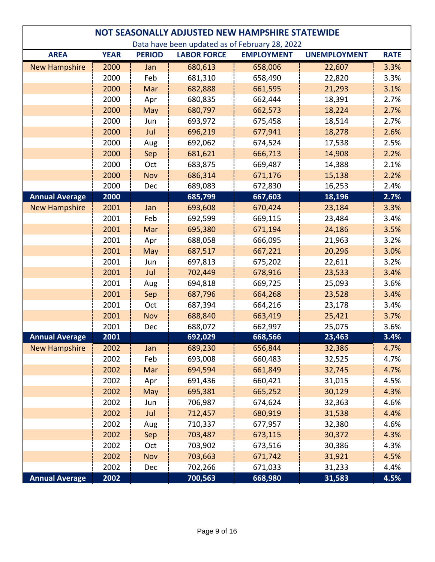| NOT SEASONALLY ADJUSTED NEW HAMPSHIRE STATEWIDE |             |               |                    |                                                |                     |             |  |  |
|-------------------------------------------------|-------------|---------------|--------------------|------------------------------------------------|---------------------|-------------|--|--|
|                                                 |             |               |                    | Data have been updated as of February 28, 2022 |                     |             |  |  |
| <b>AREA</b>                                     | <b>YEAR</b> | <b>PERIOD</b> | <b>LABOR FORCE</b> | <b>EMPLOYMENT</b>                              | <b>UNEMPLOYMENT</b> | <b>RATE</b> |  |  |
| <b>New Hampshire</b>                            | 2000        | Jan           | 680,613            | 658,006                                        | 22,607              | 3.3%        |  |  |
|                                                 | 2000        | Feb           | 681,310            | 658,490                                        | 22,820              | 3.3%        |  |  |
|                                                 | 2000        | Mar           | 682,888            | 661,595                                        | 21,293              | 3.1%        |  |  |
|                                                 | 2000        | Apr           | 680,835            | 662,444                                        | 18,391              | 2.7%        |  |  |
|                                                 | 2000        | May           | 680,797            | 662,573                                        | 18,224              | 2.7%        |  |  |
|                                                 | 2000        | Jun           | 693,972            | 675,458                                        | 18,514              | 2.7%        |  |  |
|                                                 | 2000        | Jul           | 696,219            | 677,941                                        | 18,278              | 2.6%        |  |  |
|                                                 | 2000        | Aug           | 692,062            | 674,524                                        | 17,538              | 2.5%        |  |  |
|                                                 | 2000        | Sep           | 681,621            | 666,713                                        | 14,908              | 2.2%        |  |  |
|                                                 | 2000        | Oct           | 683,875            | 669,487                                        | 14,388              | 2.1%        |  |  |
|                                                 | 2000        | <b>Nov</b>    | 686,314            | 671,176                                        | 15,138              | 2.2%        |  |  |
|                                                 | 2000        | Dec           | 689,083            | 672,830                                        | 16,253              | 2.4%        |  |  |
| <b>Annual Average</b>                           | 2000        |               | 685,799            | 667,603                                        | 18,196              | 2.7%        |  |  |
| <b>New Hampshire</b>                            | 2001        | Jan           | 693,608            | 670,424                                        | 23,184              | 3.3%        |  |  |
|                                                 | 2001        | Feb           | 692,599            | 669,115                                        | 23,484              | 3.4%        |  |  |
|                                                 | 2001        | Mar           | 695,380            | 671,194                                        | 24,186              | 3.5%        |  |  |
|                                                 | 2001        | Apr           | 688,058            | 666,095                                        | 21,963              | 3.2%        |  |  |
|                                                 | 2001        | May           | 687,517            | 667,221                                        | 20,296              | 3.0%        |  |  |
|                                                 | 2001        | Jun           | 697,813            | 675,202                                        | 22,611              | 3.2%        |  |  |
|                                                 | 2001        | Jul           | 702,449            | 678,916                                        | 23,533              | 3.4%        |  |  |
|                                                 | 2001        | Aug           | 694,818            | 669,725                                        | 25,093              | 3.6%        |  |  |
|                                                 | 2001        | Sep           | 687,796            | 664,268                                        | 23,528              | 3.4%        |  |  |
|                                                 | 2001        | Oct           | 687,394            | 664,216                                        | 23,178              | 3.4%        |  |  |
|                                                 | 2001        | Nov           | 688,840            | 663,419                                        | 25,421              | 3.7%        |  |  |
|                                                 | 2001        | Dec           | 688,072            | 662,997                                        | 25,075              | 3.6%        |  |  |
| <b>Annual Average</b>                           | 2001        |               | 692,029            | 668,566                                        | 23,463              | 3.4%        |  |  |
| <b>New Hampshire</b>                            | 2002        | Jan           | 689,230            | 656,844                                        | 32,386              | 4.7%        |  |  |
|                                                 | 2002        | Feb           | 693,008            | 660,483                                        | 32,525              | 4.7%        |  |  |
|                                                 | 2002        | Mar           | 694,594            | 661,849                                        | 32,745              | 4.7%        |  |  |
|                                                 | 2002        | Apr           | 691,436            | 660,421                                        | 31,015              | 4.5%        |  |  |
|                                                 | 2002        | May           | 695,381            | 665,252                                        | 30,129              | 4.3%        |  |  |
|                                                 | 2002        | Jun           | 706,987            | 674,624                                        | 32,363              | 4.6%        |  |  |
|                                                 | 2002        | Jul           | 712,457            | 680,919                                        | 31,538              | 4.4%        |  |  |
|                                                 | 2002        | Aug           | 710,337            | 677,957                                        | 32,380              | 4.6%        |  |  |
|                                                 | 2002        | Sep           | 703,487            | 673,115                                        | 30,372              | 4.3%        |  |  |
|                                                 | 2002        | Oct           | 703,902            | 673,516                                        | 30,386              | 4.3%        |  |  |
|                                                 | 2002        | Nov           | 703,663            | 671,742                                        | 31,921              | 4.5%        |  |  |
|                                                 | 2002        | Dec           | 702,266            | 671,033                                        | 31,233              | 4.4%        |  |  |
| <b>Annual Average</b>                           | 2002        |               | 700,563            | 668,980                                        | 31,583              | 4.5%        |  |  |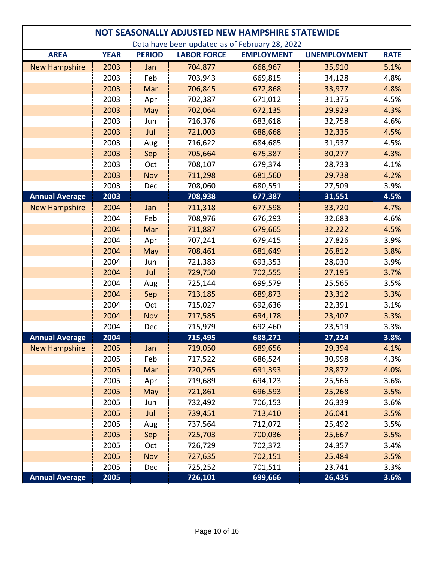|                                                | NOT SEASONALLY ADJUSTED NEW HAMPSHIRE STATEWIDE |               |                    |                   |                     |             |  |  |
|------------------------------------------------|-------------------------------------------------|---------------|--------------------|-------------------|---------------------|-------------|--|--|
| Data have been updated as of February 28, 2022 |                                                 |               |                    |                   |                     |             |  |  |
| <b>AREA</b>                                    | <b>YEAR</b>                                     | <b>PERIOD</b> | <b>LABOR FORCE</b> | <b>EMPLOYMENT</b> | <b>UNEMPLOYMENT</b> | <b>RATE</b> |  |  |
| <b>New Hampshire</b>                           | 2003                                            | Jan           | 704,877            | 668,967           | 35,910              | 5.1%        |  |  |
|                                                | 2003                                            | Feb           | 703,943            | 669,815           | 34,128              | 4.8%        |  |  |
|                                                | 2003                                            | Mar           | 706,845            | 672,868           | 33,977              | 4.8%        |  |  |
|                                                | 2003                                            | Apr           | 702,387            | 671,012           | 31,375              | 4.5%        |  |  |
|                                                | 2003                                            | May           | 702,064            | 672,135           | 29,929              | 4.3%        |  |  |
|                                                | 2003                                            | Jun           | 716,376            | 683,618           | 32,758              | 4.6%        |  |  |
|                                                | 2003                                            | Jul           | 721,003            | 688,668           | 32,335              | 4.5%        |  |  |
|                                                | 2003                                            | Aug           | 716,622            | 684,685           | 31,937              | 4.5%        |  |  |
|                                                | 2003                                            | Sep           | 705,664            | 675,387           | 30,277              | 4.3%        |  |  |
|                                                | 2003                                            | Oct           | 708,107            | 679,374           | 28,733              | 4.1%        |  |  |
|                                                | 2003                                            | <b>Nov</b>    | 711,298            | 681,560           | 29,738              | 4.2%        |  |  |
|                                                | 2003                                            | Dec           | 708,060            | 680,551           | 27,509              | 3.9%        |  |  |
| <b>Annual Average</b>                          | 2003                                            |               | 708,938            | 677,387           | 31,551              | 4.5%        |  |  |
| <b>New Hampshire</b>                           | 2004                                            | Jan           | 711,318            | 677,598           | 33,720              | 4.7%        |  |  |
|                                                | 2004                                            | Feb           | 708,976            | 676,293           | 32,683              | 4.6%        |  |  |
|                                                | 2004                                            | Mar           | 711,887            | 679,665           | 32,222              | 4.5%        |  |  |
|                                                | 2004                                            | Apr           | 707,241            | 679,415           | 27,826              | 3.9%        |  |  |
|                                                | 2004                                            | May           | 708,461            | 681,649           | 26,812              | 3.8%        |  |  |
|                                                | 2004                                            | Jun           | 721,383            | 693,353           | 28,030              | 3.9%        |  |  |
|                                                | 2004                                            | Jul           | 729,750            | 702,555           | 27,195              | 3.7%        |  |  |
|                                                | 2004                                            | Aug           | 725,144            | 699,579           | 25,565              | 3.5%        |  |  |
|                                                | 2004                                            | Sep           | 713,185            | 689,873           | 23,312              | 3.3%        |  |  |
|                                                | 2004                                            | Oct           | 715,027            | 692,636           | 22,391              | 3.1%        |  |  |
|                                                | 2004                                            | <b>Nov</b>    | 717,585            | 694,178           | 23,407              | 3.3%        |  |  |
|                                                | 2004                                            | Dec           | 715,979            | 692,460           | 23,519              | 3.3%        |  |  |
| <b>Annual Average</b>                          | 2004                                            |               | 715,495            | 688,271           | 27,224              | 3.8%        |  |  |
| <b>New Hampshire</b>                           | 2005                                            | Jan           | 719,050            | 689,656           | 29,394              | 4.1%        |  |  |
|                                                | 2005                                            | Feb           | 717,522            | 686,524           | 30,998              | 4.3%        |  |  |
|                                                | 2005                                            | Mar           | 720,265            | 691,393           | 28,872              | 4.0%        |  |  |
|                                                | 2005                                            | Apr           | 719,689            | 694,123           | 25,566              | 3.6%        |  |  |
|                                                | 2005                                            | May           | 721,861            | 696,593           | 25,268              | 3.5%        |  |  |
|                                                | 2005                                            | Jun           | 732,492            | 706,153           | 26,339              | 3.6%        |  |  |
|                                                | 2005                                            | Jul           | 739,451            | 713,410           | 26,041              | 3.5%        |  |  |
|                                                | 2005                                            | Aug           | 737,564            | 712,072           | 25,492              | 3.5%        |  |  |
|                                                | 2005                                            | Sep           | 725,703            | 700,036           | 25,667              | 3.5%        |  |  |
|                                                | 2005                                            | Oct           | 726,729            | 702,372           | 24,357              | 3.4%        |  |  |
|                                                | 2005                                            | Nov           | 727,635            | 702,151           | 25,484              | 3.5%        |  |  |
|                                                | 2005                                            | Dec           | 725,252            | 701,511           | 23,741              | 3.3%        |  |  |
| <b>Annual Average</b>                          | 2005                                            |               | 726,101            | 699,666           | 26,435              | 3.6%        |  |  |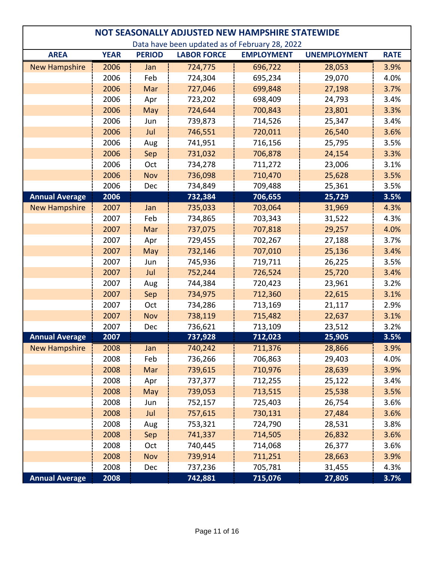| NOT SEASONALLY ADJUSTED NEW HAMPSHIRE STATEWIDE |             |               |                    |                                                |                     |             |  |  |
|-------------------------------------------------|-------------|---------------|--------------------|------------------------------------------------|---------------------|-------------|--|--|
|                                                 |             |               |                    | Data have been updated as of February 28, 2022 |                     |             |  |  |
| <b>AREA</b>                                     | <b>YEAR</b> | <b>PERIOD</b> | <b>LABOR FORCE</b> | <b>EMPLOYMENT</b>                              | <b>UNEMPLOYMENT</b> | <b>RATE</b> |  |  |
| <b>New Hampshire</b>                            | 2006        | Jan           | 724,775            | 696,722                                        | 28,053              | 3.9%        |  |  |
|                                                 | 2006        | Feb           | 724,304            | 695,234                                        | 29,070              | 4.0%        |  |  |
|                                                 | 2006        | Mar           | 727,046            | 699,848                                        | 27,198              | 3.7%        |  |  |
|                                                 | 2006        | Apr           | 723,202            | 698,409                                        | 24,793              | 3.4%        |  |  |
|                                                 | 2006        | May           | 724,644            | 700,843                                        | 23,801              | 3.3%        |  |  |
|                                                 | 2006        | Jun           | 739,873            | 714,526                                        | 25,347              | 3.4%        |  |  |
|                                                 | 2006        | Jul           | 746,551            | 720,011                                        | 26,540              | 3.6%        |  |  |
|                                                 | 2006        | Aug           | 741,951            | 716,156                                        | 25,795              | 3.5%        |  |  |
|                                                 | 2006        | Sep           | 731,032            | 706,878                                        | 24,154              | 3.3%        |  |  |
|                                                 | 2006        | Oct           | 734,278            | 711,272                                        | 23,006              | 3.1%        |  |  |
|                                                 | 2006        | <b>Nov</b>    | 736,098            | 710,470                                        | 25,628              | 3.5%        |  |  |
|                                                 | 2006        | Dec           | 734,849            | 709,488                                        | 25,361              | 3.5%        |  |  |
| <b>Annual Average</b>                           | 2006        |               | 732,384            | 706,655                                        | 25,729              | 3.5%        |  |  |
| <b>New Hampshire</b>                            | 2007        | Jan           | 735,033            | 703,064                                        | 31,969              | 4.3%        |  |  |
|                                                 | 2007        | Feb           | 734,865            | 703,343                                        | 31,522              | 4.3%        |  |  |
|                                                 | 2007        | Mar           | 737,075            | 707,818                                        | 29,257              | 4.0%        |  |  |
|                                                 | 2007        | Apr           | 729,455            | 702,267                                        | 27,188              | 3.7%        |  |  |
|                                                 | 2007        | May           | 732,146            | 707,010                                        | 25,136              | 3.4%        |  |  |
|                                                 | 2007        | Jun           | 745,936            | 719,711                                        | 26,225              | 3.5%        |  |  |
|                                                 | 2007        | Jul           | 752,244            | 726,524                                        | 25,720              | 3.4%        |  |  |
|                                                 | 2007        | Aug           | 744,384            | 720,423                                        | 23,961              | 3.2%        |  |  |
|                                                 | 2007        | Sep           | 734,975            | 712,360                                        | 22,615              | 3.1%        |  |  |
|                                                 | 2007        | Oct           | 734,286            | 713,169                                        | 21,117              | 2.9%        |  |  |
|                                                 | 2007        | <b>Nov</b>    | 738,119            | 715,482                                        | 22,637              | 3.1%        |  |  |
|                                                 | 2007        | Dec           | 736,621            | 713,109                                        | 23,512              | 3.2%        |  |  |
| <b>Annual Average</b>                           | 2007        |               | 737,928            | 712,023                                        | 25,905              | 3.5%        |  |  |
| <b>New Hampshire</b>                            | 2008        | Jan           | 740,242            | 711,376                                        | 28,866              | 3.9%        |  |  |
|                                                 | 2008        | Feb           | 736,266            | 706,863                                        | 29,403              | 4.0%        |  |  |
|                                                 | 2008        | Mar           | 739,615            | 710,976                                        | 28,639              | 3.9%        |  |  |
|                                                 | 2008        | Apr           | 737,377            | 712,255                                        | 25,122              | 3.4%        |  |  |
|                                                 | 2008        | May           | 739,053            | 713,515                                        | 25,538              | 3.5%        |  |  |
|                                                 | 2008        | Jun           | 752,157            | 725,403                                        | 26,754              | 3.6%        |  |  |
|                                                 | 2008        | Jul           | 757,615            | 730,131                                        | 27,484              | 3.6%        |  |  |
|                                                 | 2008        | Aug           | 753,321            | 724,790                                        | 28,531              | 3.8%        |  |  |
|                                                 | 2008        | Sep           | 741,337            | 714,505                                        | 26,832              | 3.6%        |  |  |
|                                                 | 2008        | Oct           | 740,445            | 714,068                                        | 26,377              | 3.6%        |  |  |
|                                                 | 2008        | Nov           | 739,914            | 711,251                                        | 28,663              | 3.9%        |  |  |
|                                                 | 2008        | Dec           | 737,236            | 705,781                                        | 31,455              | 4.3%        |  |  |
| <b>Annual Average</b>                           | 2008        |               | 742,881            | 715,076                                        | 27,805              | 3.7%        |  |  |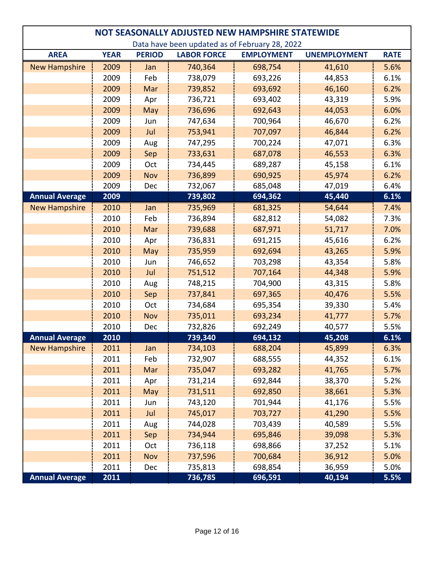| NOT SEASONALLY ADJUSTED NEW HAMPSHIRE STATEWIDE |             |               |                    |                   |                     |             |  |  |
|-------------------------------------------------|-------------|---------------|--------------------|-------------------|---------------------|-------------|--|--|
| Data have been updated as of February 28, 2022  |             |               |                    |                   |                     |             |  |  |
| <b>AREA</b>                                     | <b>YEAR</b> | <b>PERIOD</b> | <b>LABOR FORCE</b> | <b>EMPLOYMENT</b> | <b>UNEMPLOYMENT</b> | <b>RATE</b> |  |  |
| <b>New Hampshire</b>                            | 2009        | Jan           | 740,364            | 698,754           | 41,610              | 5.6%        |  |  |
|                                                 | 2009        | Feb           | 738,079            | 693,226           | 44,853              | 6.1%        |  |  |
|                                                 | 2009        | Mar           | 739,852            | 693,692           | 46,160              | 6.2%        |  |  |
|                                                 | 2009        | Apr           | 736,721            | 693,402           | 43,319              | 5.9%        |  |  |
|                                                 | 2009        | May           | 736,696            | 692,643           | 44,053              | 6.0%        |  |  |
|                                                 | 2009        | Jun           | 747,634            | 700,964           | 46,670              | 6.2%        |  |  |
|                                                 | 2009        | Jul           | 753,941            | 707,097           | 46,844              | 6.2%        |  |  |
|                                                 | 2009        | Aug           | 747,295            | 700,224           | 47,071              | 6.3%        |  |  |
|                                                 | 2009        | Sep           | 733,631            | 687,078           | 46,553              | 6.3%        |  |  |
|                                                 | 2009        | Oct           | 734,445            | 689,287           | 45,158              | 6.1%        |  |  |
|                                                 | 2009        | <b>Nov</b>    | 736,899            | 690,925           | 45,974              | 6.2%        |  |  |
|                                                 | 2009        | Dec           | 732,067            | 685,048           | 47,019              | 6.4%        |  |  |
| <b>Annual Average</b>                           | 2009        |               | 739,802            | 694,362           | 45,440              | 6.1%        |  |  |
| <b>New Hampshire</b>                            | 2010        | Jan           | 735,969            | 681,325           | 54,644              | 7.4%        |  |  |
|                                                 | 2010        | Feb           | 736,894            | 682,812           | 54,082              | 7.3%        |  |  |
|                                                 | 2010        | Mar           | 739,688            | 687,971           | 51,717              | 7.0%        |  |  |
|                                                 | 2010        | Apr           | 736,831            | 691,215           | 45,616              | 6.2%        |  |  |
|                                                 | 2010        | May           | 735,959            | 692,694           | 43,265              | 5.9%        |  |  |
|                                                 | 2010        | Jun           | 746,652            | 703,298           | 43,354              | 5.8%        |  |  |
|                                                 | 2010        | Jul           | 751,512            | 707,164           | 44,348              | 5.9%        |  |  |
|                                                 | 2010        | Aug           | 748,215            | 704,900           | 43,315              | 5.8%        |  |  |
|                                                 | 2010        | Sep           | 737,841            | 697,365           | 40,476              | 5.5%        |  |  |
|                                                 | 2010        | Oct           | 734,684            | 695,354           | 39,330              | 5.4%        |  |  |
|                                                 | 2010        | Nov           | 735,011            | 693,234           | 41,777              | 5.7%        |  |  |
|                                                 | 2010        | Dec           | 732,826            | 692,249           | 40,577              | 5.5%        |  |  |
| <b>Annual Average</b>                           | 2010        |               | 739,340            | 694,132           | 45,208              | 6.1%        |  |  |
| <b>New Hampshire</b>                            | 2011        | Jan           | 734,103            | 688,204           | 45,899              | 6.3%        |  |  |
|                                                 | 2011        | Feb           | 732,907            | 688,555           | 44,352              | 6.1%        |  |  |
|                                                 | 2011        | Mar           | 735,047            | 693,282           | 41,765              | 5.7%        |  |  |
|                                                 | 2011        | Apr           | 731,214            | 692,844           | 38,370              | 5.2%        |  |  |
|                                                 | 2011        | May           | 731,511            | 692,850           | 38,661              | 5.3%        |  |  |
|                                                 | 2011        | Jun           | 743,120            | 701,944           | 41,176              | 5.5%        |  |  |
|                                                 | 2011        | Jul           | 745,017            | 703,727           | 41,290              | 5.5%        |  |  |
|                                                 | 2011        | Aug           | 744,028            | 703,439           | 40,589              | 5.5%        |  |  |
|                                                 | 2011        | Sep           | 734,944            | 695,846           | 39,098              | 5.3%        |  |  |
|                                                 | 2011        | Oct           | 736,118            | 698,866           | 37,252              | 5.1%        |  |  |
|                                                 | 2011        | Nov           | 737,596            | 700,684           | 36,912              | 5.0%        |  |  |
|                                                 | 2011        | Dec           | 735,813            | 698,854           | 36,959              | 5.0%        |  |  |
| <b>Annual Average</b>                           | 2011        |               | 736,785            | 696,591           | 40,194              | 5.5%        |  |  |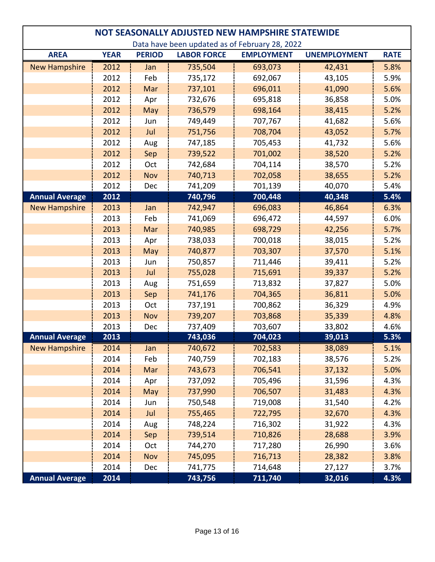| NOT SEASONALLY ADJUSTED NEW HAMPSHIRE STATEWIDE |             |               |                    |                   |                     |             |
|-------------------------------------------------|-------------|---------------|--------------------|-------------------|---------------------|-------------|
| Data have been updated as of February 28, 2022  |             |               |                    |                   |                     |             |
| <b>AREA</b>                                     | <b>YEAR</b> | <b>PERIOD</b> | <b>LABOR FORCE</b> | <b>EMPLOYMENT</b> | <b>UNEMPLOYMENT</b> | <b>RATE</b> |
| <b>New Hampshire</b>                            | 2012        | Jan           | 735,504            | 693,073           | 42,431              | 5.8%        |
|                                                 | 2012        | Feb           | 735,172            | 692,067           | 43,105              | 5.9%        |
|                                                 | 2012        | Mar           | 737,101            | 696,011           | 41,090              | 5.6%        |
|                                                 | 2012        | Apr           | 732,676            | 695,818           | 36,858              | 5.0%        |
|                                                 | 2012        | May           | 736,579            | 698,164           | 38,415              | 5.2%        |
|                                                 | 2012        | Jun           | 749,449            | 707,767           | 41,682              | 5.6%        |
|                                                 | 2012        | Jul           | 751,756            | 708,704           | 43,052              | 5.7%        |
|                                                 | 2012        | Aug           | 747,185            | 705,453           | 41,732              | 5.6%        |
|                                                 | 2012        | Sep           | 739,522            | 701,002           | 38,520              | 5.2%        |
|                                                 | 2012        | Oct           | 742,684            | 704,114           | 38,570              | 5.2%        |
|                                                 | 2012        | <b>Nov</b>    | 740,713            | 702,058           | 38,655              | 5.2%        |
|                                                 | 2012        | Dec           | 741,209            | 701,139           | 40,070              | 5.4%        |
| <b>Annual Average</b>                           | 2012        |               | 740,796            | 700,448           | 40,348              | 5.4%        |
| <b>New Hampshire</b>                            | 2013        | Jan           | 742,947            | 696,083           | 46,864              | 6.3%        |
|                                                 | 2013        | Feb           | 741,069            | 696,472           | 44,597              | 6.0%        |
|                                                 | 2013        | Mar           | 740,985            | 698,729           | 42,256              | 5.7%        |
|                                                 | 2013        | Apr           | 738,033            | 700,018           | 38,015              | 5.2%        |
|                                                 | 2013        | May           | 740,877            | 703,307           | 37,570              | 5.1%        |
|                                                 | 2013        | Jun           | 750,857            | 711,446           | 39,411              | 5.2%        |
|                                                 | 2013        | Jul           | 755,028            | 715,691           | 39,337              | 5.2%        |
|                                                 | 2013        | Aug           | 751,659            | 713,832           | 37,827              | 5.0%        |
|                                                 | 2013        | Sep           | 741,176            | 704,365           | 36,811              | 5.0%        |
|                                                 | 2013        | Oct           | 737,191            | 700,862           | 36,329              | 4.9%        |
|                                                 | 2013        | <b>Nov</b>    | 739,207            | 703,868           | 35,339              | 4.8%        |
|                                                 | 2013        | Dec           | 737,409            | 703,607           | 33,802              | 4.6%        |
| <b>Annual Average</b>                           | 2013        |               | 743,036            | 704,023           | 39,013              | 5.3%        |
| <b>New Hampshire</b>                            | 2014        | Jan           | 740,672            | 702,583           | 38,089              | 5.1%        |
|                                                 | 2014        | Feb           | 740,759            | 702,183           | 38,576              | 5.2%        |
|                                                 | 2014        | Mar           | 743,673            | 706,541           | 37,132              | 5.0%        |
|                                                 | 2014        | Apr           | 737,092            | 705,496           | 31,596              | 4.3%        |
|                                                 | 2014        | May           | 737,990            | 706,507           | 31,483              | 4.3%        |
|                                                 | 2014        | Jun           | 750,548            | 719,008           | 31,540              | 4.2%        |
|                                                 | 2014        | Jul           | 755,465            | 722,795           | 32,670              | 4.3%        |
|                                                 | 2014        | Aug           | 748,224            | 716,302           | 31,922              | 4.3%        |
|                                                 | 2014        | Sep           | 739,514            | 710,826           | 28,688              | 3.9%        |
|                                                 | 2014        | Oct           | 744,270            | 717,280           | 26,990              | 3.6%        |
|                                                 | 2014        | Nov           | 745,095            | 716,713           | 28,382              | 3.8%        |
|                                                 | 2014        | Dec           | 741,775            | 714,648           | 27,127              | 3.7%        |
| <b>Annual Average</b>                           | 2014        |               | 743,756            | 711,740           | 32,016              | 4.3%        |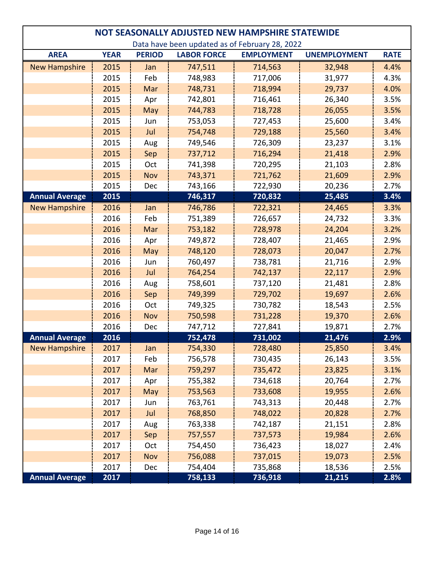| NOT SEASONALLY ADJUSTED NEW HAMPSHIRE STATEWIDE |             |               |                    |                   |                     |             |  |
|-------------------------------------------------|-------------|---------------|--------------------|-------------------|---------------------|-------------|--|
| Data have been updated as of February 28, 2022  |             |               |                    |                   |                     |             |  |
| <b>AREA</b>                                     | <b>YEAR</b> | <b>PERIOD</b> | <b>LABOR FORCE</b> | <b>EMPLOYMENT</b> | <b>UNEMPLOYMENT</b> | <b>RATE</b> |  |
| <b>New Hampshire</b>                            | 2015        | Jan           | 747,511            | 714,563           | 32,948              | 4.4%        |  |
|                                                 | 2015        | Feb           | 748,983            | 717,006           | 31,977              | 4.3%        |  |
|                                                 | 2015        | Mar           | 748,731            | 718,994           | 29,737              | 4.0%        |  |
|                                                 | 2015        | Apr           | 742,801            | 716,461           | 26,340              | 3.5%        |  |
|                                                 | 2015        | May           | 744,783            | 718,728           | 26,055              | 3.5%        |  |
|                                                 | 2015        | Jun           | 753,053            | 727,453           | 25,600              | 3.4%        |  |
|                                                 | 2015        | Jul           | 754,748            | 729,188           | 25,560              | 3.4%        |  |
|                                                 | 2015        | Aug           | 749,546            | 726,309           | 23,237              | 3.1%        |  |
|                                                 | 2015        | Sep           | 737,712            | 716,294           | 21,418              | 2.9%        |  |
|                                                 | 2015        | Oct           | 741,398            | 720,295           | 21,103              | 2.8%        |  |
|                                                 | 2015        | <b>Nov</b>    | 743,371            | 721,762           | 21,609              | 2.9%        |  |
|                                                 | 2015        | Dec           | 743,166            | 722,930           | 20,236              | 2.7%        |  |
| <b>Annual Average</b>                           | 2015        |               | 746,317            | 720,832           | 25,485              | 3.4%        |  |
| <b>New Hampshire</b>                            | 2016        | Jan           | 746,786            | 722,321           | 24,465              | 3.3%        |  |
|                                                 | 2016        | Feb           | 751,389            | 726,657           | 24,732              | 3.3%        |  |
|                                                 | 2016        | Mar           | 753,182            | 728,978           | 24,204              | 3.2%        |  |
|                                                 | 2016        | Apr           | 749,872            | 728,407           | 21,465              | 2.9%        |  |
|                                                 | 2016        | May           | 748,120            | 728,073           | 20,047              | 2.7%        |  |
|                                                 | 2016        | Jun           | 760,497            | 738,781           | 21,716              | 2.9%        |  |
|                                                 | 2016        | Jul           | 764,254            | 742,137           | 22,117              | 2.9%        |  |
|                                                 | 2016        | Aug           | 758,601            | 737,120           | 21,481              | 2.8%        |  |
|                                                 | 2016        | Sep           | 749,399            | 729,702           | 19,697              | 2.6%        |  |
|                                                 | 2016        | Oct           | 749,325            | 730,782           | 18,543              | 2.5%        |  |
|                                                 | 2016        | <b>Nov</b>    | 750,598            | 731,228           | 19,370              | 2.6%        |  |
|                                                 | 2016        | Dec           | 747,712            | 727,841           | 19,871              | 2.7%        |  |
| <b>Annual Average</b>                           | 2016        |               | 752,478            | 731,002           | 21,476              | 2.9%        |  |
| <b>New Hampshire</b>                            | 2017        | Jan           | 754,330            | 728,480           | 25,850              | 3.4%        |  |
|                                                 | 2017        | Feb           | 756,578            | 730,435           | 26,143              | 3.5%        |  |
|                                                 | 2017        | Mar           | 759,297            | 735,472           | 23,825              | 3.1%        |  |
|                                                 | 2017        | Apr           | 755,382            | 734,618           | 20,764              | 2.7%        |  |
|                                                 | 2017        | May           | 753,563            | 733,608           | 19,955              | 2.6%        |  |
|                                                 | 2017        | Jun           | 763,761            | 743,313           | 20,448              | 2.7%        |  |
|                                                 | 2017        | Jul           | 768,850            | 748,022           | 20,828              | 2.7%        |  |
|                                                 | 2017        | Aug           | 763,338            | 742,187           | 21,151              | 2.8%        |  |
|                                                 | 2017        | Sep           | 757,557            | 737,573           | 19,984              | 2.6%        |  |
|                                                 | 2017        | Oct           | 754,450            | 736,423           | 18,027              | 2.4%        |  |
|                                                 | 2017        | Nov           | 756,088            | 737,015           | 19,073              | 2.5%        |  |
|                                                 | 2017        | Dec           | 754,404            | 735,868           | 18,536              | 2.5%        |  |
| <b>Annual Average</b>                           | 2017        |               | 758,133            | 736,918           | 21,215              | 2.8%        |  |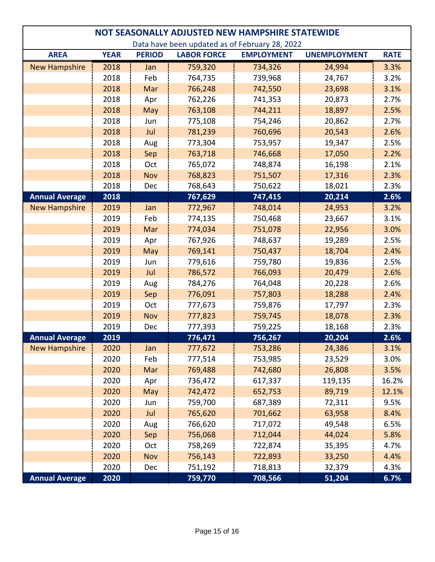| NOT SEASONALLY ADJUSTED NEW HAMPSHIRE STATEWIDE |             |               |                    |                   |                     |             |  |
|-------------------------------------------------|-------------|---------------|--------------------|-------------------|---------------------|-------------|--|
| Data have been updated as of February 28, 2022  |             |               |                    |                   |                     |             |  |
| <b>AREA</b>                                     | <b>YEAR</b> | <b>PERIOD</b> | <b>LABOR FORCE</b> | <b>EMPLOYMENT</b> | <b>UNEMPLOYMENT</b> | <b>RATE</b> |  |
| <b>New Hampshire</b>                            | 2018        | Jan           | 759,320            | 734,326           | 24,994              | 3.3%        |  |
|                                                 | 2018        | Feb           | 764,735            | 739,968           | 24,767              | 3.2%        |  |
|                                                 | 2018        | Mar           | 766,248            | 742,550           | 23,698              | 3.1%        |  |
|                                                 | 2018        | Apr           | 762,226            | 741,353           | 20,873              | 2.7%        |  |
|                                                 | 2018        | May           | 763,108            | 744,211           | 18,897              | 2.5%        |  |
|                                                 | 2018        | Jun           | 775,108            | 754,246           | 20,862              | 2.7%        |  |
|                                                 | 2018        | Jul           | 781,239            | 760,696           | 20,543              | 2.6%        |  |
|                                                 | 2018        | Aug           | 773,304            | 753,957           | 19,347              | 2.5%        |  |
|                                                 | 2018        | Sep           | 763,718            | 746,668           | 17,050              | 2.2%        |  |
|                                                 | 2018        | Oct           | 765,072            | 748,874           | 16,198              | 2.1%        |  |
|                                                 | 2018        | <b>Nov</b>    | 768,823            | 751,507           | 17,316              | 2.3%        |  |
|                                                 | 2018        | Dec           | 768,643            | 750,622           | 18,021              | 2.3%        |  |
| <b>Annual Average</b>                           | 2018        |               | 767,629            | 747,415           | 20,214              | 2.6%        |  |
| <b>New Hampshire</b>                            | 2019        | Jan           | 772,967            | 748,014           | 24,953              | 3.2%        |  |
|                                                 | 2019        | Feb           | 774,135            | 750,468           | 23,667              | 3.1%        |  |
|                                                 | 2019        | Mar           | 774,034            | 751,078           | 22,956              | 3.0%        |  |
|                                                 | 2019        | Apr           | 767,926            | 748,637           | 19,289              | 2.5%        |  |
|                                                 | 2019        | May           | 769,141            | 750,437           | 18,704              | 2.4%        |  |
|                                                 | 2019        | Jun           | 779,616            | 759,780           | 19,836              | 2.5%        |  |
|                                                 | 2019        | Jul           | 786,572            | 766,093           | 20,479              | 2.6%        |  |
|                                                 | 2019        | Aug           | 784,276            | 764,048           | 20,228              | 2.6%        |  |
|                                                 | 2019        | Sep           | 776,091            | 757,803           | 18,288              | 2.4%        |  |
|                                                 | 2019        | Oct           | 777,673            | 759,876           | 17,797              | 2.3%        |  |
|                                                 | 2019        | Nov           | 777,823            | 759,745           | 18,078              | 2.3%        |  |
|                                                 | 2019        | Dec           | 777,393            | 759,225           | 18,168              | 2.3%        |  |
| <b>Annual Average</b>                           | 2019        |               | 776,471            | 756,267           | 20,204              | 2.6%        |  |
| <b>New Hampshire</b>                            | 2020        | Jan           | 777,672            | 753,286           | 24,386              | 3.1%        |  |
|                                                 | 2020        | Feb           | 777,514            | 753,985           | 23,529              | 3.0%        |  |
|                                                 | 2020        | Mar           | 769,488            | 742,680           | 26,808              | 3.5%        |  |
|                                                 | 2020        | Apr           | 736,472            | 617,337           | 119,135             | 16.2%       |  |
|                                                 | 2020        | May           | 742,472            | 652,753           | 89,719              | 12.1%       |  |
|                                                 | 2020        | Jun           | 759,700            | 687,389           | 72,311              | 9.5%        |  |
|                                                 | 2020        | Jul           | 765,620            | 701,662           | 63,958              | 8.4%        |  |
|                                                 | 2020        | Aug           | 766,620            | 717,072           | 49,548              | 6.5%        |  |
|                                                 | 2020        | Sep           | 756,068            | 712,044           | 44,024              | 5.8%        |  |
|                                                 | 2020        | Oct           | 758,269            | 722,874           | 35,395              | 4.7%        |  |
|                                                 | 2020        | Nov           | 756,143            | 722,893           | 33,250              | 4.4%        |  |
|                                                 | 2020        | Dec           | 751,192            | 718,813           | 32,379              | 4.3%        |  |
| <b>Annual Average</b>                           | 2020        |               | 759,770            | 708,566           | 51,204              | 6.7%        |  |